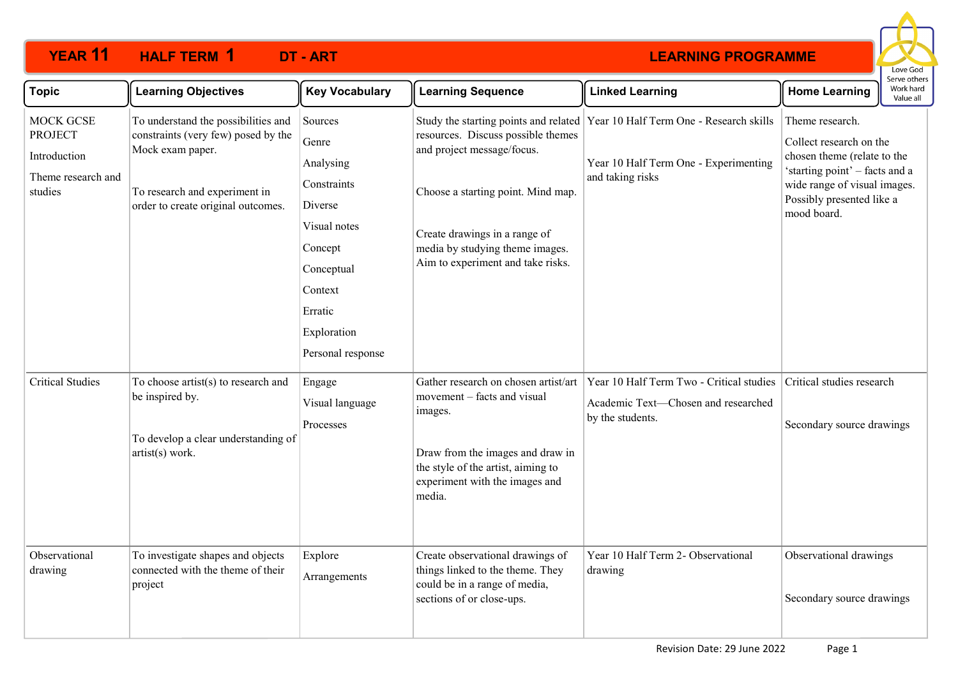# **YEAR 11 HALF TERM DT - ART 1**



| <b>Topic</b>                                                                        | <b>Learning Objectives</b>                                                                                                                                            | <b>Key Vocabulary</b>                                                                                                                                      | <b>Learning Sequence</b>                                                                                                                                                                                        | <b>Linked Learning</b>                                                                                                                     | <b>Home Learning</b>                                                                                                                                                                    | serve others<br>Work hard<br>Value all |
|-------------------------------------------------------------------------------------|-----------------------------------------------------------------------------------------------------------------------------------------------------------------------|------------------------------------------------------------------------------------------------------------------------------------------------------------|-----------------------------------------------------------------------------------------------------------------------------------------------------------------------------------------------------------------|--------------------------------------------------------------------------------------------------------------------------------------------|-----------------------------------------------------------------------------------------------------------------------------------------------------------------------------------------|----------------------------------------|
| <b>MOCK GCSE</b><br><b>PROJECT</b><br>Introduction<br>Theme research and<br>studies | To understand the possibilities and<br>constraints (very few) posed by the<br>Mock exam paper.<br>To research and experiment in<br>order to create original outcomes. | Sources<br>Genre<br>Analysing<br>Constraints<br>Diverse<br>Visual notes<br>Concept<br>Conceptual<br>Context<br>Erratic<br>Exploration<br>Personal response | resources. Discuss possible themes<br>and project message/focus.<br>Choose a starting point. Mind map.<br>Create drawings in a range of<br>media by studying theme images.<br>Aim to experiment and take risks. | Study the starting points and related Year 10 Half Term One - Research skills<br>Year 10 Half Term One - Experimenting<br>and taking risks | Theme research.<br>Collect research on the<br>chosen theme (relate to the<br>'starting point' - facts and a<br>wide range of visual images.<br>Possibly presented like a<br>mood board. |                                        |
| <b>Critical Studies</b><br>Observational                                            | To choose artist(s) to research and<br>be inspired by.<br>To develop a clear understanding of<br>artist(s) work.                                                      | Engage<br>Visual language<br>Processes                                                                                                                     | Gather research on chosen artist/art<br>movement – facts and visual<br>images.<br>Draw from the images and draw in<br>the style of the artist, aiming to<br>experiment with the images and<br>media.            | Year 10 Half Term Two - Critical studies<br>Academic Text-Chosen and researched<br>by the students.<br>Year 10 Half Term 2- Observational  | Critical studies research<br>Secondary source drawings                                                                                                                                  |                                        |
| drawing                                                                             | To investigate shapes and objects<br>connected with the theme of their<br>project                                                                                     | Explore<br>Arrangements                                                                                                                                    | Create observational drawings of<br>things linked to the theme. They<br>could be in a range of media,<br>sections of or close-ups.                                                                              | drawing                                                                                                                                    | Observational drawings<br>Secondary source drawings                                                                                                                                     |                                        |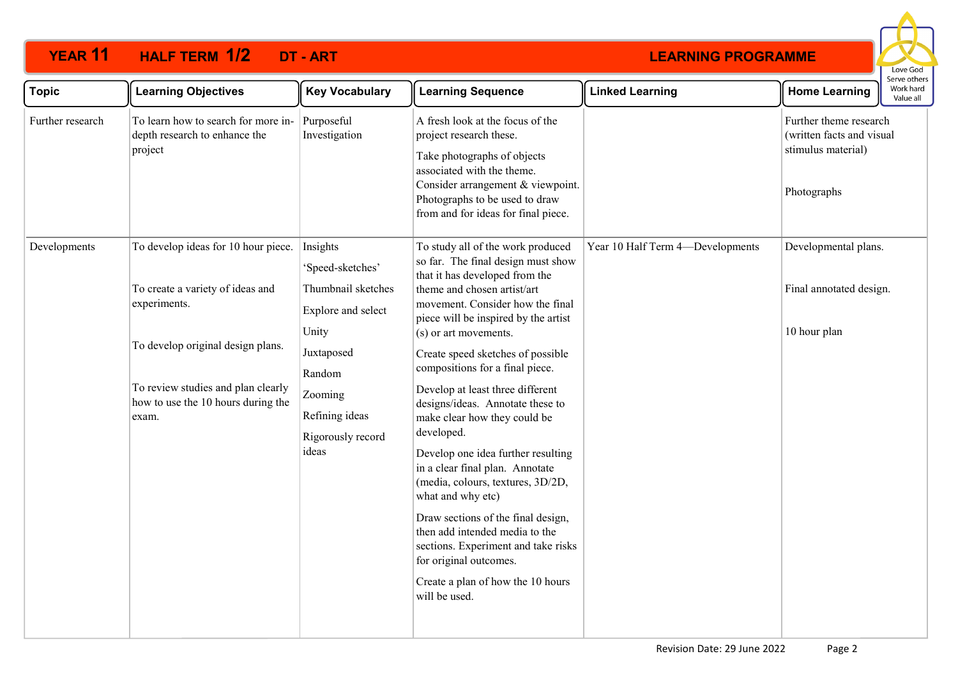# **YEAR 11 HALF TERM DT - ART 1/2**



| <b>Topic</b>     | <b>Learning Objectives</b>                                                                                                                                                                                        | <b>Key Vocabulary</b>                                                                                                                                                | <b>Learning Sequence</b>                                                                                                                                                                                                                                                                                                                                                                                                                                                                                                                                                                                                                                                                                                                                                      | <b>Linked Learning</b>           | <b>Home Learning</b>                                                                     | Serve others<br>Work hard<br>Value all |
|------------------|-------------------------------------------------------------------------------------------------------------------------------------------------------------------------------------------------------------------|----------------------------------------------------------------------------------------------------------------------------------------------------------------------|-------------------------------------------------------------------------------------------------------------------------------------------------------------------------------------------------------------------------------------------------------------------------------------------------------------------------------------------------------------------------------------------------------------------------------------------------------------------------------------------------------------------------------------------------------------------------------------------------------------------------------------------------------------------------------------------------------------------------------------------------------------------------------|----------------------------------|------------------------------------------------------------------------------------------|----------------------------------------|
| Further research | To learn how to search for more in-<br>depth research to enhance the<br>project                                                                                                                                   | Purposeful<br>Investigation                                                                                                                                          | A fresh look at the focus of the<br>project research these.<br>Take photographs of objects<br>associated with the theme.<br>Consider arrangement & viewpoint.<br>Photographs to be used to draw<br>from and for ideas for final piece.                                                                                                                                                                                                                                                                                                                                                                                                                                                                                                                                        |                                  | Further theme research<br>(written facts and visual<br>stimulus material)<br>Photographs |                                        |
| Developments     | To develop ideas for 10 hour piece.<br>To create a variety of ideas and<br>experiments.<br>To develop original design plans.<br>To review studies and plan clearly<br>how to use the 10 hours during the<br>exam. | Insights<br>'Speed-sketches'<br>Thumbnail sketches<br>Explore and select<br>Unity<br>Juxtaposed<br>Random<br>Zooming<br>Refining ideas<br>Rigorously record<br>ideas | To study all of the work produced<br>so far. The final design must show<br>that it has developed from the<br>theme and chosen artist/art<br>movement. Consider how the final<br>piece will be inspired by the artist<br>(s) or art movements.<br>Create speed sketches of possible<br>compositions for a final piece.<br>Develop at least three different<br>designs/ideas. Annotate these to<br>make clear how they could be<br>developed.<br>Develop one idea further resulting<br>in a clear final plan. Annotate<br>(media, colours, textures, 3D/2D,<br>what and why etc)<br>Draw sections of the final design,<br>then add intended media to the<br>sections. Experiment and take risks<br>for original outcomes.<br>Create a plan of how the 10 hours<br>will be used. | Year 10 Half Term 4-Developments | Developmental plans.<br>Final annotated design.<br>10 hour plan                          |                                        |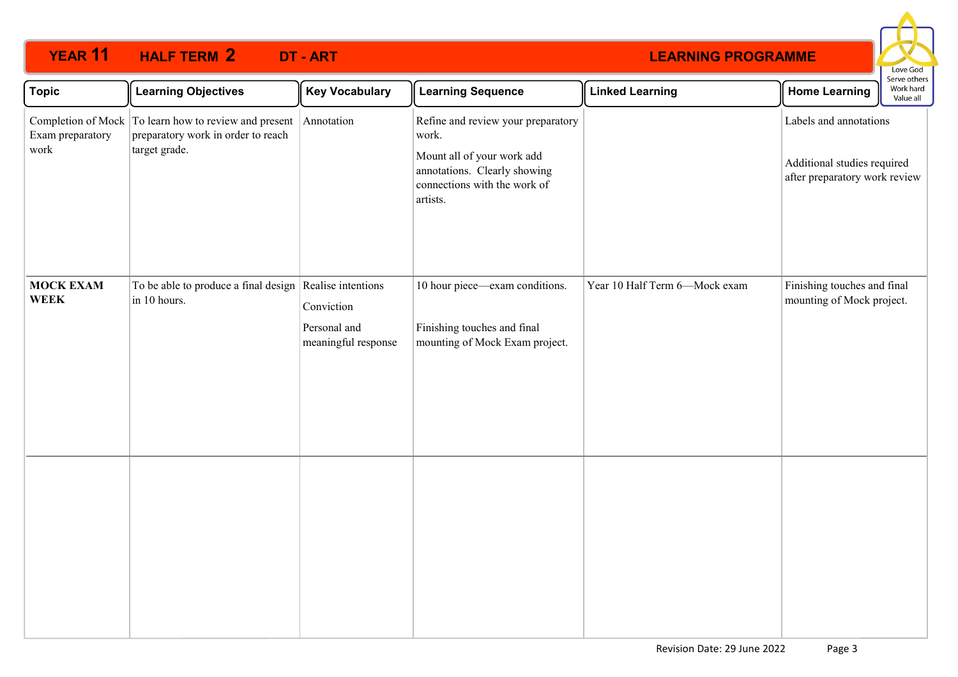## **YEAR 11 HALF TERM DT - ART 2**



| <b>Topic</b>                    | <b>Learning Objectives</b>                                                                                   | <b>Key Vocabulary</b>                             | <b>Learning Sequence</b>                                                                                                                              | <b>Linked Learning</b>        | <b>Home Learning</b>                                                                   | Serve others<br>Work hard<br>Value all |
|---------------------------------|--------------------------------------------------------------------------------------------------------------|---------------------------------------------------|-------------------------------------------------------------------------------------------------------------------------------------------------------|-------------------------------|----------------------------------------------------------------------------------------|----------------------------------------|
| Exam preparatory<br>work        | Completion of Mock To learn how to review and present<br>preparatory work in order to reach<br>target grade. | Annotation                                        | Refine and review your preparatory<br>work.<br>Mount all of your work add<br>annotations. Clearly showing<br>connections with the work of<br>artists. |                               | Labels and annotations<br>Additional studies required<br>after preparatory work review |                                        |
| <b>MOCK EXAM</b><br><b>WEEK</b> | To be able to produce a final design Realise intentions<br>in 10 hours.                                      | Conviction<br>Personal and<br>meaningful response | 10 hour piece-exam conditions.<br>Finishing touches and final<br>mounting of Mock Exam project.                                                       | Year 10 Half Term 6-Mock exam | Finishing touches and final<br>mounting of Mock project.                               |                                        |
|                                 |                                                                                                              |                                                   |                                                                                                                                                       |                               |                                                                                        |                                        |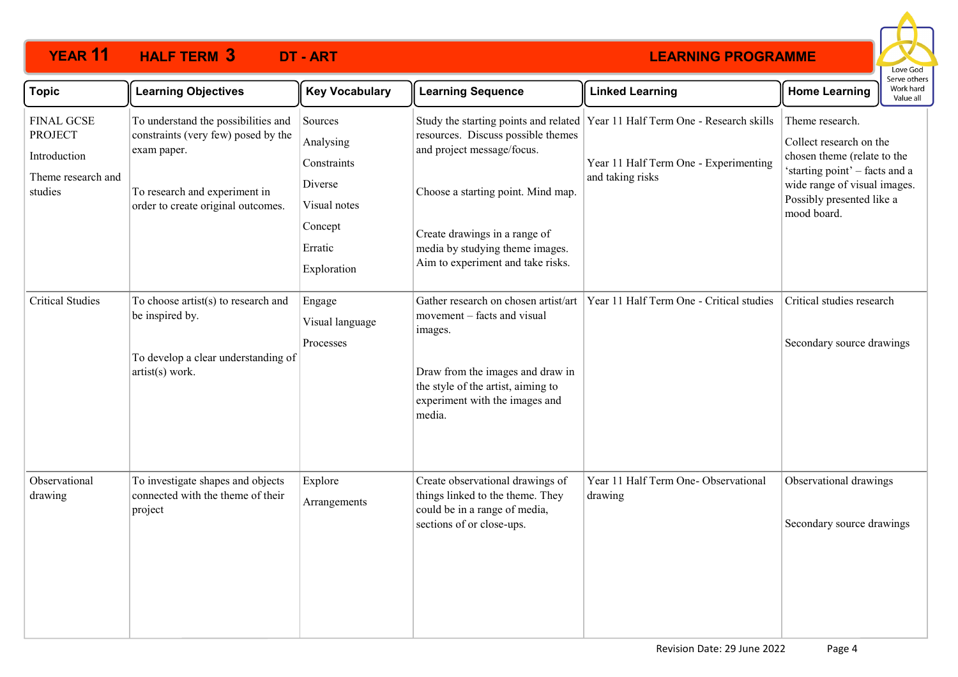# **YEAR 11 HALF TERM DT - ART 3**



| <b>Topic</b>                                                                         | <b>Learning Objectives</b>                                                                                                                                       | <b>Key Vocabulary</b>                                                                               | <b>Learning Sequence</b>                                                                                                                                                                                        | <b>Linked Learning</b>                                                                                                                       | <b>Home Learning</b>                                                                                                                                                                    | Serve others<br>Work hard<br>Value all |
|--------------------------------------------------------------------------------------|------------------------------------------------------------------------------------------------------------------------------------------------------------------|-----------------------------------------------------------------------------------------------------|-----------------------------------------------------------------------------------------------------------------------------------------------------------------------------------------------------------------|----------------------------------------------------------------------------------------------------------------------------------------------|-----------------------------------------------------------------------------------------------------------------------------------------------------------------------------------------|----------------------------------------|
| <b>FINAL GCSE</b><br><b>PROJECT</b><br>Introduction<br>Theme research and<br>studies | To understand the possibilities and<br>constraints (very few) posed by the<br>exam paper.<br>To research and experiment in<br>order to create original outcomes. | Sources<br>Analysing<br>Constraints<br>Diverse<br>Visual notes<br>Concept<br>Erratic<br>Exploration | resources. Discuss possible themes<br>and project message/focus.<br>Choose a starting point. Mind map.<br>Create drawings in a range of<br>media by studying theme images.<br>Aim to experiment and take risks. | Study the starting points and related   Year 11 Half Term One - Research skills<br>Year 11 Half Term One - Experimenting<br>and taking risks | Theme research.<br>Collect research on the<br>chosen theme (relate to the<br>'starting point' - facts and a<br>wide range of visual images.<br>Possibly presented like a<br>mood board. |                                        |
| <b>Critical Studies</b>                                                              | To choose artist(s) to research and<br>be inspired by.<br>To develop a clear understanding of<br>artist(s) work.                                                 | Engage<br>Visual language<br>Processes                                                              | Gather research on chosen artist/art<br>movement - facts and visual<br>images.<br>Draw from the images and draw in<br>the style of the artist, aiming to<br>experiment with the images and<br>media.            | Year 11 Half Term One - Critical studies                                                                                                     | Critical studies research<br>Secondary source drawings                                                                                                                                  |                                        |
| Observational<br>drawing                                                             | To investigate shapes and objects<br>connected with the theme of their<br>project                                                                                | Explore<br>Arrangements                                                                             | Create observational drawings of<br>things linked to the theme. They<br>could be in a range of media,<br>sections of or close-ups.                                                                              | Year 11 Half Term One- Observational<br>drawing                                                                                              | Observational drawings<br>Secondary source drawings                                                                                                                                     |                                        |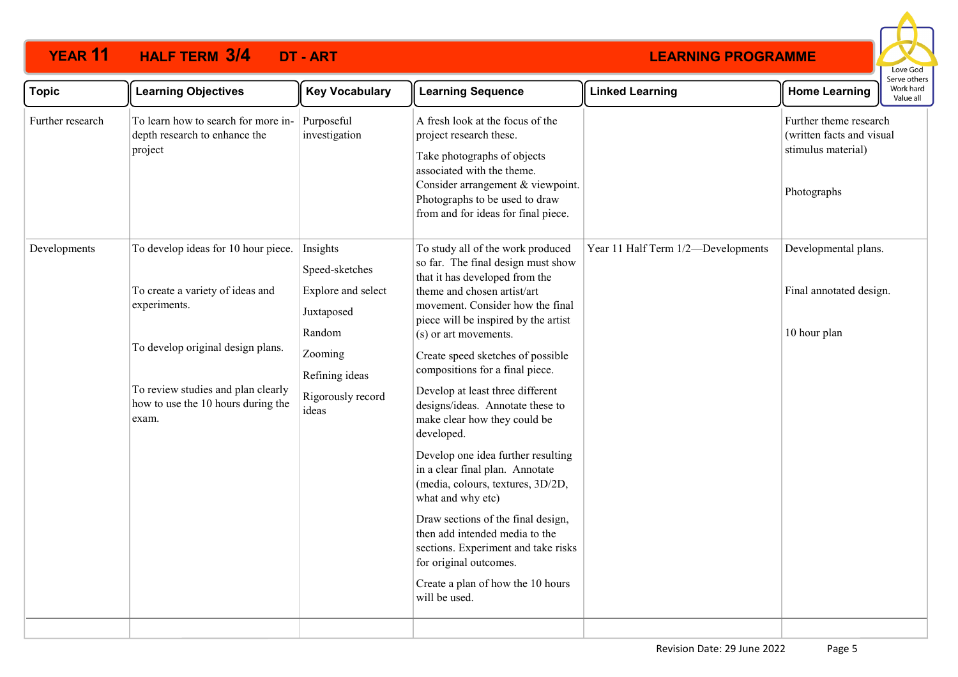# **YEAR 11 HALF TERM DT - ART 3/4**



| <b>Topic</b>     | <b>Learning Objectives</b>                                                                                                                                                                                                 | <b>Key Vocabulary</b>                                                                                                   | <b>Learning Sequence</b>                                                                                                                                                                                                                                                                                                                                                                                                                                                                                                                                                                                                                                                                                                                                                      | <b>Linked Learning</b>             | Serve others<br>Work hard<br><b>Home Learning</b><br>Value all                           |
|------------------|----------------------------------------------------------------------------------------------------------------------------------------------------------------------------------------------------------------------------|-------------------------------------------------------------------------------------------------------------------------|-------------------------------------------------------------------------------------------------------------------------------------------------------------------------------------------------------------------------------------------------------------------------------------------------------------------------------------------------------------------------------------------------------------------------------------------------------------------------------------------------------------------------------------------------------------------------------------------------------------------------------------------------------------------------------------------------------------------------------------------------------------------------------|------------------------------------|------------------------------------------------------------------------------------------|
| Further research | To learn how to search for more in-<br>depth research to enhance the<br>project                                                                                                                                            | Purposeful<br>investigation                                                                                             | A fresh look at the focus of the<br>project research these.<br>Take photographs of objects<br>associated with the theme.<br>Consider arrangement & viewpoint.<br>Photographs to be used to draw<br>from and for ideas for final piece.                                                                                                                                                                                                                                                                                                                                                                                                                                                                                                                                        |                                    | Further theme research<br>(written facts and visual<br>stimulus material)<br>Photographs |
| Developments     | To develop ideas for 10 hour piece. Insights<br>To create a variety of ideas and<br>experiments.<br>To develop original design plans.<br>To review studies and plan clearly<br>how to use the 10 hours during the<br>exam. | Speed-sketches<br>Explore and select<br>Juxtaposed<br>Random<br>Zooming<br>Refining ideas<br>Rigorously record<br>ideas | To study all of the work produced<br>so far. The final design must show<br>that it has developed from the<br>theme and chosen artist/art<br>movement. Consider how the final<br>piece will be inspired by the artist<br>(s) or art movements.<br>Create speed sketches of possible<br>compositions for a final piece.<br>Develop at least three different<br>designs/ideas. Annotate these to<br>make clear how they could be<br>developed.<br>Develop one idea further resulting<br>in a clear final plan. Annotate<br>(media, colours, textures, 3D/2D,<br>what and why etc)<br>Draw sections of the final design,<br>then add intended media to the<br>sections. Experiment and take risks<br>for original outcomes.<br>Create a plan of how the 10 hours<br>will be used. | Year 11 Half Term 1/2-Developments | Developmental plans.<br>Final annotated design.<br>10 hour plan                          |
|                  |                                                                                                                                                                                                                            |                                                                                                                         |                                                                                                                                                                                                                                                                                                                                                                                                                                                                                                                                                                                                                                                                                                                                                                               |                                    |                                                                                          |